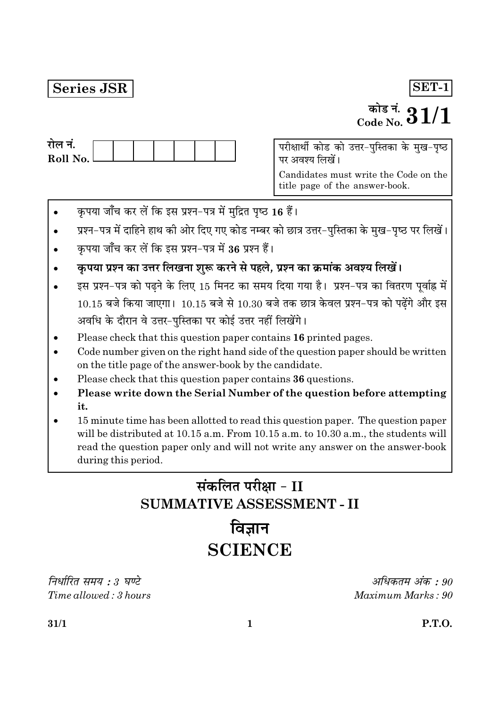### **Series JSR**

### $SET-1$

# <sup>कोड नं.</sup>  $31/1$

| राल न.     |  |  |  |  |
|------------|--|--|--|--|
| Roll No. l |  |  |  |  |
|            |  |  |  |  |

पर अवश्य लिखें।

Candidates must write the Code on the title page of the answer-book.

- कृपया जाँच कर लें कि इस प्रश्न-पत्र में मुद्रित पृष्ठ 16 हैं।
- प्रश्न-पत्र में दाहिने हाथ की ओर दिए गए कोड नम्बर को छात्र उत्तर-पुस्तिका के मुख-पृष्ठ पर लिखें।
- कपया जाँच कर लें कि इस प्रश्न-पत्र में 36 प्रश्न हैं।
- कृपया प्रश्न का उत्तर लिखना शुरू करने से पहले, प्रश्न का क्रमांक अवश्य लिखें।
- इस प्रश्न-पत्र को पढ़ने के लिए 15 मिनट का समय दिया गया है। प्रश्न-पत्र का वितरण पूर्वाह्न में  $10.15$  बजे किया जाएगा।  $10.15$  बजे से  $10.30$  बजे तक छात्र केवल प्रश्न-पत्र को पढ़ेंगे और इस अवधि के दौरान वे उत्तर-पुस्तिका पर कोई उत्तर नहीं लिखेंगे।
- Please check that this question paper contains 16 printed pages.
- Code number given on the right hand side of the question paper should be written on the title page of the answer-book by the candidate.
- Please check that this question paper contains 36 questions.
- Please write down the Serial Number of the question before attempting it.
- 15 minute time has been allotted to read this question paper. The question paper will be distributed at 10.15 a.m. From 10.15 a.m. to 10.30 a.m., the students will read the question paper only and will not write any answer on the answer-book during this period.

# संकलित परीक्षा - II **SUMMATIVE ASSESSMENT - II**

## विज्ञान **SCIENCE**

निर्धारित समय : 3 घण्टे Time allowed: 3 hours

अधिकतम अंक : 90 Maximum Marks: 90

 $31/1$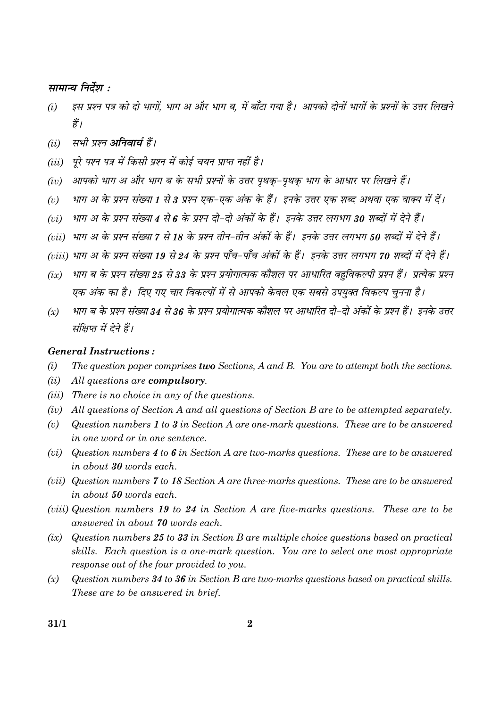सामान्य निर्देश :

- इस प्रश्न पत्र को दो भागों. भाग अ और भाग ब. में बाँटा गया है। आपको दोनों भागों के प्रश्नों के उत्तर लिखने  $(i)$ हैं।
- सभी प्रश्न **अनिवार्य** हैं।  $(ii)$
- (iii) परे पश्न पत्र में किसी प्रश्न में कोई चयन प्राप्त नहीं है।
- आपको भाग अ और भाग ब के सभी प्रश्नों के उत्तर पृथक-पृथक भाग के आधार पर लिखने हैं।  $(iv)$
- भाग अ के प्रश्न संख्या 1 से 3 प्रश्न एक-एक अंक के हैं। इनके उत्तर एक शब्द अथवा एक वाक्य में दें।  $(v)$
- भाग अ के प्रश्न संख्या 4 से 6 के प्रश्न दो-दो अंकों के हैं। इनके उत्तर लगभग 30 शब्दों में देने हैं।  $(vi)$
- (vii) भाग अ के प्रश्न संख्या 7 से 18 के प्रश्न तीन-तीन अंकों के हैं। इनके उत्तर लगभग 50 शब्दों में देने हैं।
- (viii) भाग अ के प्रश्न संख्या 19 से 24 के प्रश्न पाँच-पाँच अंकों के हैं। इनके उत्तर लगभग 70 शब्दों में देने हैं।
- भाग ब के प्रश्न संख्या 25 से 33 के प्रश्न प्रयोगात्मक कौशल पर आधारित बहविकल्पी प्रश्न हैं। प्रत्येक प्रश्न  $(ix)$ एक अंक का है। दिए गए चार विकल्पों में से आपको केवल एक सबसे उपयुक्त विकल्प चनना है।
- भाग ब के प्रश्न संख्या 34 से 36 के प्रश्न प्रयोगात्मक कौशल पर आधारित दो-दो अंकों के प्रश्न हैं। इनके उत्तर  $(x)$ संक्षिप्त में देने हैं।

#### **General Instructions:**

- The question paper comprises two Sections, A and B. You are to attempt both the sections.  $(i)$
- $(ii)$ All questions are compulsory.
- (iii) There is no choice in any of the questions.
- (iv) All questions of Section A and all questions of Section B are to be attempted separately.
- $(v)$ Question numbers 1 to 3 in Section A are one-mark questions. These are to be answered in one word or in one sentence.
- (vi) Question numbers 4 to 6 in Section A are two-marks questions. These are to be answered in about 30 words each.
- (vii) Question numbers 7 to 18 Section A are three-marks questions. These are to be answered in about 50 words each.
- (viii) Question numbers 19 to 24 in Section A are five-marks questions. These are to be answered in about 70 words each.
- Question numbers  $25$  to  $33$  in Section B are multiple choice questions based on practical  $(ix)$ skills. Each question is a one-mark question. You are to select one most appropriate response out of the four provided to you.
- $(x)$ Question numbers 34 to 36 in Section B are two-marks questions based on practical skills. These are to be answered in brief.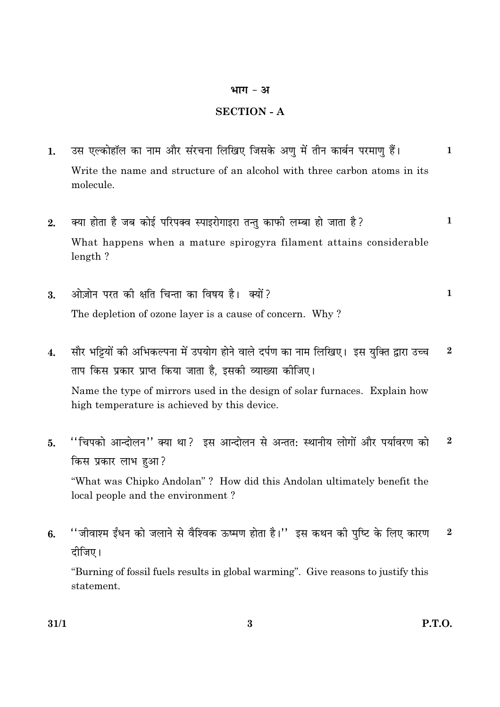#### भाग - अ

#### **SECTION - A**

- उस एल्कोहॉल का नाम और संरचना लिखिए जिसके अण में तीन कार्बन परमाण हैं।  $1.$  $\mathbf{1}$ Write the name and structure of an alcohol with three carbon atoms in its molecule.
- क्या होता है जब कोई परिपक्व स्पाइरोगाइरा तन्तु काफी लम्बा हो जाता है?  $\mathbf{1}$  $2.$ What happens when a mature spirogyra filament attains considerable  $length$ ?
- ओज़ोन परत की क्षति चिन्ता का विषय है। क्यों?  $\mathbf{1}$  $\overline{3}$ . The depletion of ozone layer is a cause of concern. Why?
- सौर भट्टियों की अभिकल्पना में उपयोग होने वाले दर्पण का नाम लिखिए। इस युक्ति द्वारा उच्च  $\bf{2}$  $\overline{4}$ . ताप किस प्रकार प्राप्त किया जाता है, इसकी व्याख्या कीजिए। Name the type of mirrors used in the design of solar furnaces. Explain how high temperature is achieved by this device.
- "चिपको आन्दोलन" क्या था? इस आन्दोलन से अन्तत: स्थानीय लोगों और पर्यावरण को  $\mathbf{2}$ 5. किस प्रकार लाभ हुआ? "What was Chipko Andolan"? How did this Andolan ultimately benefit the local people and the environment?
- "जीवाश्म ईंधन को जलाने से वैश्विक ऊष्मण होता है।'' इस कथन की पुष्टि के लिए कारण  $\overline{2}$ 6. दीजिए।

"Burning of fossil fuels results in global warming". Give reasons to justify this statement.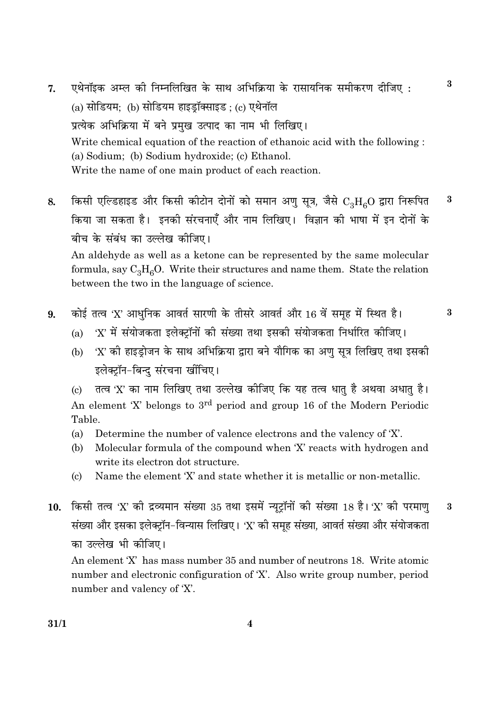- एथेनॉइक अम्ल की निम्नलिखित के साथ अभिक्रिया के रासायनिक समीकरण दीजिए:  $7.$  $(a)$  सोडियम; (b) सोडियम हाइड़ॉक्साइड; (c) एथेनॉल प्रत्येक अभिक्रिया में बने प्रमख उत्पाद का नाम भी लिखिए। Write chemical equation of the reaction of ethanoic acid with the following: (a) Sodium; (b) Sodium hydroxide; (c) Ethanol. Write the name of one main product of each reaction.
- किसी एल्डिहाइड और किसी कीटोन दोनों को समान अणु सुत्र, जैसे  $\rm C_{\circ}H_{c}O$  द्वारा निरूपित 3 8. किया जा सकता है। इनकी संरचनाएँ और नाम लिखिए। विज्ञान की भाषा में इन दोनों के बीच के संबंध का उल्लेख कीजिए। An aldehyde as well as a ketone can be represented by the same molecular

formula, say  $C_3H_6O$ . Write their structures and name them. State the relation between the two in the language of science.

कोई तत्व 'X' आधुनिक आवर्त सारणी के तीसरे आवर्त और 16 वें समूह में स्थित है। 9.

 $\bf{3}$ 

 $\mathbf{a}$ 

- 'X' में संयोजकता इलेक्ट्रॉनों की संख्या तथा इसकी संयोजकता निर्धारित कीजिए।  $(a)$
- 'X' की हाइड्रोजन के साथ अभिक्रिया द्वारा बने यौगिक का अणु सूत्र लिखिए तथा इसकी  $(b)$ इलेक्ट्रॉन-बिन्द संरचना खींचिए।

तत्व 'X' का नाम लिखिए तथा उल्लेख कीजिए कि यह तत्व धातु है अथवा अधातु है।  $\left( \mathrm{c} \right)$ An element 'X' belongs to 3<sup>rd</sup> period and group 16 of the Modern Periodic Table.

- $(a)$ Determine the number of valence electrons and the valency of 'X'.
- $(b)$ Molecular formula of the compound when 'X' reacts with hydrogen and write its electron dot structure.
- Name the element 'X' and state whether it is metallic or non-metallic.  $\left( \mathrm{c} \right)$
- 10. किसी तत्व 'X' की द्रव्यमान संख्या 35 तथा इसमें न्यूट्रॉनों की संख्या 18 है। 'X' की परमाण  $\bf{3}$ संख्या और इसका इलेक्टॉन-विन्यास लिखिए। 'X' की समह संख्या, आवर्त संख्या और संयोजकता का उल्लेख भी कीजिए।

An element 'X' has mass number 35 and number of neutrons 18. Write atomic number and electronic configuration of 'X'. Also write group number, period number and valency of 'X'.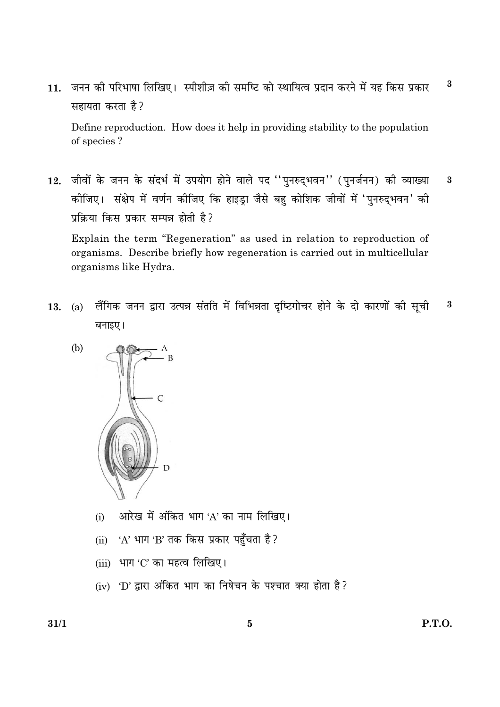$\bf{3}$ जनन की परिभाषा लिखिए। स्पीशीज़ की समष्टि को स्थायित्व प्रदान करने में यह किस प्रकार  $11.$ सहायता करता है?

Define reproduction. How does it help in providing stability to the population of species?

12. जीवों के जनन के संदर्भ में उपयोग होने वाले पद "पुनरुद्भवन" (पुनर्जनन) की व्याख्या  $\overline{\mathbf{3}}$ कीजिए। संक्षेप में वर्णन कीजिए कि हाइड्रा जैसे बहु कोशिक जीवों में 'पुनरुद्भवन' की प्रक्रिया किस प्रकार सम्पन्न होती है?

Explain the term "Regeneration" as used in relation to reproduction of organisms. Describe briefly how regeneration is carried out in multicellular organisms like Hydra.

लैंगिक जनन द्वारा उत्पन्न संतति में विभिन्नता दृष्टिगोचर होने के दो कारणों की सूची  $\bf{3}$ 13.  $(a)$ बनाइए।



- आरेख में अंकित भाग 'A' का नाम लिखिए।  $(i)$
- 'A' भाग 'B' तक किस प्रकार पहुँचता है?  $(i)$
- $(iii)$  भाग 'C' का महत्व लिखिए।
- (iv) 'D' द्वारा अंकित भाग का निषेचन के पश्चात क्या होता है?

 $31/1$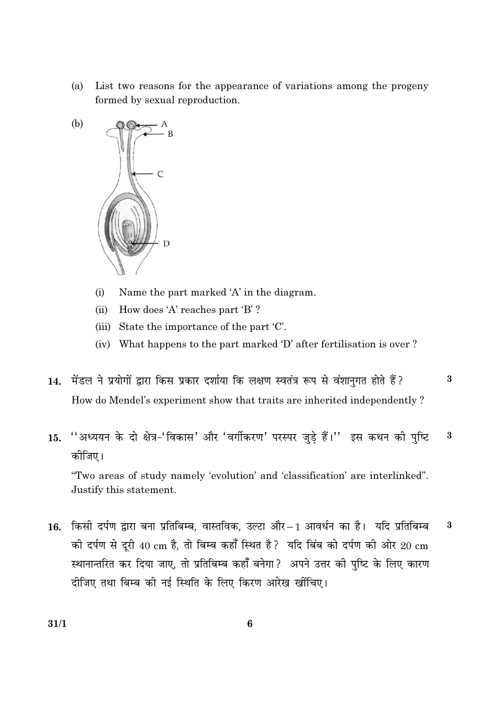List two reasons for the appearance of variations among the progeny (a) formed by sexual reproduction.



- $(i)$ Name the part marked 'A' in the diagram.
- How does 'A' reaches part 'B'?  $(ii)$
- (iii) State the importance of the part 'C'.
- (iv) What happens to the part marked 'D' after fertilisation is over?
- 14. मेंडल ने प्रयोगों द्वारा किस प्रकार दर्शाया कि लक्षण स्वतंत्र रूप से वंशानगत होते हैं?  $\overline{\mathbf{3}}$ How do Mendel's experiment show that traits are inherited independently?
- "अध्ययन के दो क्षेत्र-'विकास' और 'वर्गीकरण' परस्पर जुड़े हैं।'' इस कथन की पुष्टि  $\bf{3}$ 15. कोजिए।

"Two areas of study namely 'evolution' and 'classification' are interlinked". Justify this statement.

16. किसी दर्पण द्वारा बना प्रतिबिम्ब, वास्तविक, उल्टा और - 1 आवर्धन का है। यदि प्रतिबिम्ब  $\bf{3}$ की दर्पण से दूरी 40 cm है, तो बिम्ब कहाँ स्थित है? यदि बिंब को दर्पण की ओर 20 cm स्थानान्तरित कर दिया जाए, तो प्रतिबिम्ब कहाँ बनेगा? अपने उत्तर की पुष्टि के लिए कारण दीजिए तथा बिम्ब की नई स्थिति के लिए किरण आरेख खींचिए।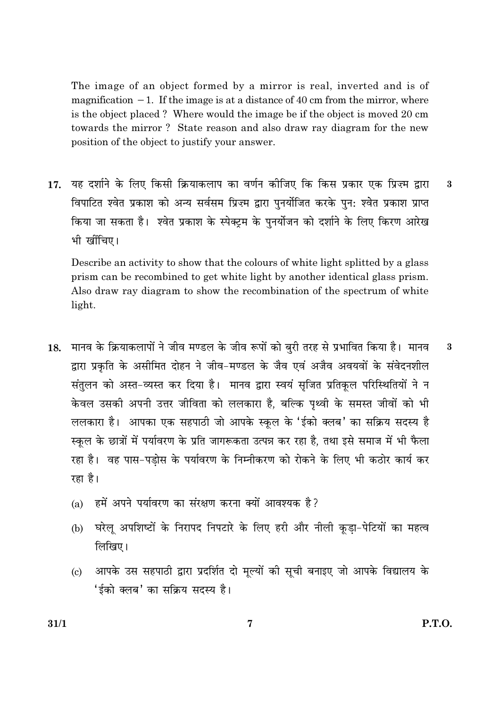The image of an object formed by a mirror is real, inverted and is of magnification  $-1$ . If the image is at a distance of 40 cm from the mirror, where is the object placed? Where would the image be if the object is moved 20 cm towards the mirror? State reason and also draw ray diagram for the new position of the object to justify your answer.

यह दर्शाने के लिए किसी क्रियाकलाप का वर्णन कीजिए कि किस प्रकार एक प्रिज्म द्वारा 17. 3 विपाटित श्वेत प्रकाश को अन्य सर्वसम प्रिज़्म द्वारा पुनर्योजित करके पुन: श्वेत प्रकाश प्राप्त किया जा सकता है। श्वेत प्रकाश के स्पेक्टम के पुनर्योजन को दर्शाने के लिए किरण आरेख भी खींचिए।

Describe an activity to show that the colours of white light splitted by a glass prism can be recombined to get white light by another identical glass prism. Also draw ray diagram to show the recombination of the spectrum of white light.

- मानव के क्रियाकलापों ने जीव मण्डल के जीव रूपों को बरी तरह से प्रभावित किया है। मानव  $\bf{3}$ 18. द्वारा प्रकृति के असीमित दोहन ने जीव-मण्डल के जैव एवं अजैव अवयवों के संवेदनशील संतुलन को अस्त-व्यस्त कर दिया है। मानव द्वारा स्वयं सुजित प्रतिकृल परिस्थितियों ने न केवल उसकी अपनी उत्तर जीविता को ललकारा है, बल्कि पृथ्वी के समस्त जीवों को भी ललकारा है। आपका एक सहपाठी जो आपके स्कूल के 'ईको क्लब' का सक्रिय सदस्य है स्कृल के छात्रों में पर्यावरण के प्रति जागरूकता उत्पन्न कर रहा है, तथा इसे समाज में भी फैला रहा है। वह पास-पडोस के पर्यावरण के निम्नीकरण को रोकने के लिए भी कठोर कार्य कर रहा है।
	- हमें अपने पर्यावरण का संरक्षण करना क्यों आवश्यक है?  $(a)$
	- घरेलु अपशिष्टों के निरापद निपटारे के लिए हरी और नीली कड़ा-पेटियों का महत्व  $(b)$ लिखिए।
	- आपके उस सहपाठी द्वारा प्रदर्शित दो मूल्यों की सूची बनाइए जो आपके विद्यालय के  $(c)$ 'ईको क्लब' का सक्रिय सदस्य है।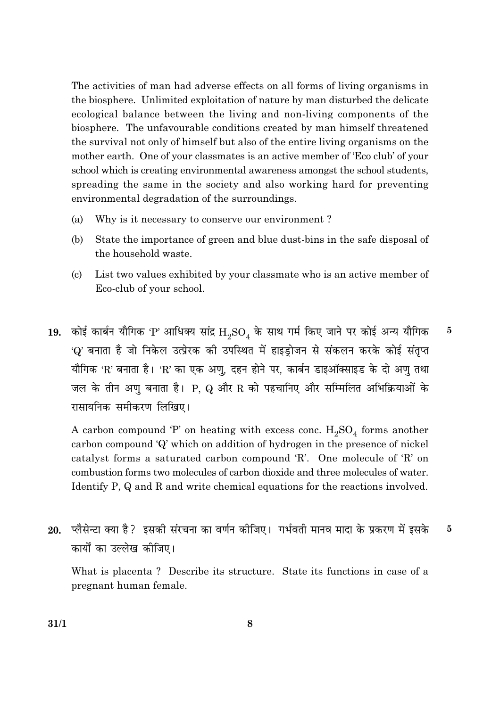The activities of man had adverse effects on all forms of living organisms in the biosphere. Unlimited exploitation of nature by man disturbed the delicate ecological balance between the living and non-living components of the biosphere. The unfavourable conditions created by man himself threatened the survival not only of himself but also of the entire living organisms on the mother earth. One of your classmates is an active member of 'Eco club' of your school which is creating environmental awareness amongst the school students, spreading the same in the society and also working hard for preventing environmental degradation of the surroundings.

- Why is it necessary to conserve our environment?  $(a)$
- (b) State the importance of green and blue dust-bins in the safe disposal of the household waste.
- $\left( \mathrm{c}\right)$ List two values exhibited by your classmate who is an active member of Eco-club of your school.
- 19. कोई कार्बन यौगिक 'P' आधिक्य सांद्र  $\rm H_2SO_4$  के साथ गर्म किए जाने पर कोई अन्य यौगिक  $\bf{5}$ 'Q' बनाता है जो निकेल उत्प्रेरक की उपस्थित में हाइड्रोजन से संकलन करके कोई संतृप्त यौगिक 'R' बनाता है। 'R' का एक अणु, दहन होने पर, कार्बन डाइऑक्साइड के दो अण तथा जल के तीन अणु बनाता है। P, Q और R को पहचानिए और सम्मिलित अभिक्रियाओं के रासायनिक समीकरण लिखिए।

A carbon compound 'P' on heating with excess conc.  $H_2SO_4$  forms another carbon compound 'Q' which on addition of hydrogen in the presence of nickel catalyst forms a saturated carbon compound 'R'. One molecule of 'R' on combustion forms two molecules of carbon dioxide and three molecules of water. Identify P, Q and R and write chemical equations for the reactions involved.

20. प्लैसेन्टा क्या है? इसकी संरचना का वर्णन कीजिए। गर्भवती मानव मादा के प्रकरण में इसके  $5\overline{5}$ कार्यों का उल्लेख कीजिए।

What is placenta? Describe its structure. State its functions in case of a pregnant human female.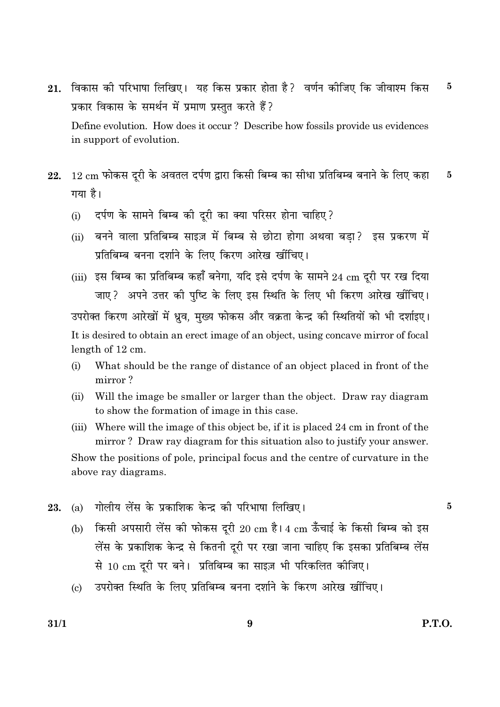- विकास की परिभाषा लिखिए। यह किस प्रकार होता है? वर्णन कीजिए कि जीवाश्म किस  $\bf{5}$ 21. प्रकार विकास के समर्थन में प्रमाण प्रस्तुत करते हैं? Define evolution. How does it occur? Describe how fossils provide us evidences in support of evolution.
- 12 cm फोकस दूरी के अवतल दर्पण द्वारा किसी बिम्ब का सीधा प्रतिबिम्ब बनाने के लिए कहा  $\overline{5}$ 22. गया है।
	- दर्पण के सामने बिम्ब की दुरी का क्या परिसर होना चाहिए ?  $(i)$
	- (ii) बनने वाला प्रतिबिम्ब साइज़ में बिम्ब से छोटा होगा अथवा बड़ा? इस प्रकरण में प्रतिबिम्ब बनना दर्शाने के लिए किरण आरेख खींचिए।
	- (iii) इस बिम्ब का प्रतिबिम्ब कहाँ बनेगा, यदि इसे दर्पण के सामने 24 cm दूरी पर रख दिया जाए? अपने उत्तर की पुष्टि के लिए इस स्थिति के लिए भी किरण आरेख खींचिए। उपरोक्त किरण आरेखों में ध्रव. मख्य फोकस और वक्रता केन्द्र की स्थितियों को भी दर्शाइए। It is desired to obtain an erect image of an object, using concave mirror of focal length of 12 cm.
	- What should be the range of distance of an object placed in front of the  $(i)$ mirror?
	- $(ii)$ Will the image be smaller or larger than the object. Draw ray diagram to show the formation of image in this case.
	- (iii) Where will the image of this object be, if it is placed 24 cm in front of the mirror? Draw ray diagram for this situation also to justify your answer. Show the positions of pole, principal focus and the centre of curvature in the above ray diagrams.
- गोलीय लेंस के प्रकाशिक केन्द्र की परिभाषा लिखिए।  $(a)$ 23.
	- किसी अपसारी लेंस की फोकस दरी 20 cm है। 4 cm ऊँचाई के किसी बिम्ब को इस  $(b)$ लेंस के प्रकाशिक केन्द्र से कितनी दूरी पर रखा जाना चाहिए कि इसका प्रतिबिम्ब लेंस से 10 cm दूरी पर बने। प्रतिबिम्ब का साइज़ भी परिकलित कीजिए।
	- उपरोक्त स्थिति के लिए प्रतिबिम्ब बनना दर्शाने के किरण आरेख खींचिए।  $\left( \mathrm{e}\right)$

 $\bf{5}$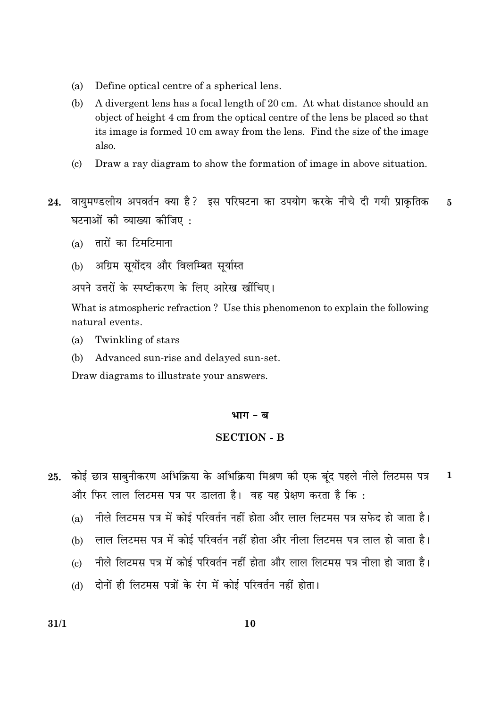- Define optical centre of a spherical lens. (a)
- (b) A divergent lens has a focal length of 20 cm. At what distance should an object of height 4 cm from the optical centre of the lens be placed so that its image is formed 10 cm away from the lens. Find the size of the image also.
- Draw a ray diagram to show the formation of image in above situation.  $\left( \mathrm{c}\right)$
- वायमण्डलीय अपवर्तन क्या है? इस परिघटना का उपयोग करके नीचे दी गयी प्राकृतिक 24.  $\overline{5}$ घटनाओं की व्याख्या कीजिए :
	- $(a)$  तारों का टिमटिमाना
	- (b) अग्रिम सर्योदय और विलम्बित सर्यास्त
	- अपने उत्तरों के स्पष्टीकरण के लिए आरेख खींचिए।

What is atmospheric refraction? Use this phenomenon to explain the following natural events.

- Twinkling of stars  $(a)$
- Advanced sun-rise and delayed sun-set. (b)

Draw diagrams to illustrate your answers.

#### भाग - ब

#### **SECTION - B**

- 25. कोई छात्र साबनीकरण अभिक्रिया के अभिक्रिया मिश्रण की एक बंद पहले नीले लिटमस पत्र  $\mathbf{1}$ और फिर लाल लिटमस पत्र पर डालता है। वह यह प्रेक्षण करता है कि:
	- नीले लिटमस पत्र में कोई परिवर्तन नहीं होता और लाल लिटमस पत्र सफेद हो जाता है।  $(a)$
	- लाल लिटमस पत्र में कोई परिवर्तन नहीं होता और नीला लिटमस पत्र लाल हो जाता है।  $(b)$
	- नीले लिटमस पत्र में कोई परिवर्तन नहीं होता और लाल लिटमस पत्र नीला हो जाता है।  $\left( \mathrm{c}\right)$
	- (d) दोनों ही लिटमस पत्रों के रंग में कोई परिवर्तन नहीं होता।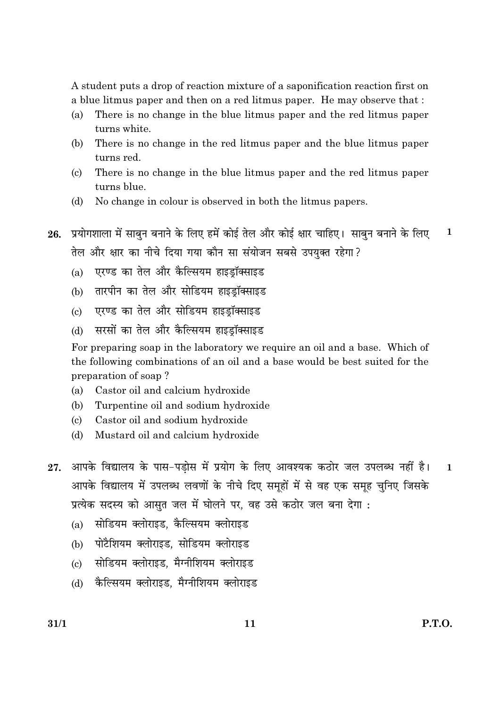A student puts a drop of reaction mixture of a saponification reaction first on a blue litmus paper and then on a red litmus paper. He may observe that:

- $(a)$ There is no change in the blue litmus paper and the red litmus paper turns white.
- (b) There is no change in the red litmus paper and the blue litmus paper turns red.
- There is no change in the blue litmus paper and the red litmus paper  $\left( \mathrm{e}\right)$ turns blue.
- No change in colour is observed in both the litmus papers.  $(d)$
- 26. प्रयोगशाला में साबन बनाने के लिए हमें कोई तेल और कोई क्षार चाहिए। साबन बनाने के लिए  $\mathbf{1}$ तेल और क्षार का नीचे दिया गया कौन सा संयोजन सबसे उपयक्त रहेगा?
	- एरण्ड का तेल और कैल्सियम हाइडॉक्साइड  $(a)$
	- (b) तारपीन का तेल और सोडियम हाइडॉक्साइड
	- एरण्ड का तेल और सोडियम हाइडॉक्साइड  $\left( \mathrm{c} \right)$
	- सरसों का तेल और कैल्सियम हाइडॉक्साइड  $(b)$

For preparing soap in the laboratory we require an oil and a base. Which of the following combinations of an oil and a base would be best suited for the preparation of soap?

- $(a)$ Castor oil and calcium hydroxide
- $(b)$ Turpentine oil and sodium hydroxide
- Castor oil and sodium hydroxide  $(c)$
- Mustard oil and calcium hydroxide (d)
- आपके विद्यालय के पास-पडोस में प्रयोग के लिए आवश्यक कठोर जल उपलब्ध नहीं है। 27.  $\mathbf{1}$ आपके विद्यालय में उपलब्ध लवणों के नीचे दिए समहों में से वह एक समह चनिए जिसके प्रत्येक सदस्य को आसुत जल में घोलने पर, वह उसे कठोर जल बना देगा :
	- (a) सोडियम क्लोराइड, कैल्सियम क्लोराइड
	- (b) पोटैशियम क्लोराइड. सोडियम क्लोराइड
	- (c) सोडियम क्लोराइड, मैग्नीशियम क्लोराइड
	- (d) कैल्सियम क्लोराइड, मैग्नीशियम क्लोराइड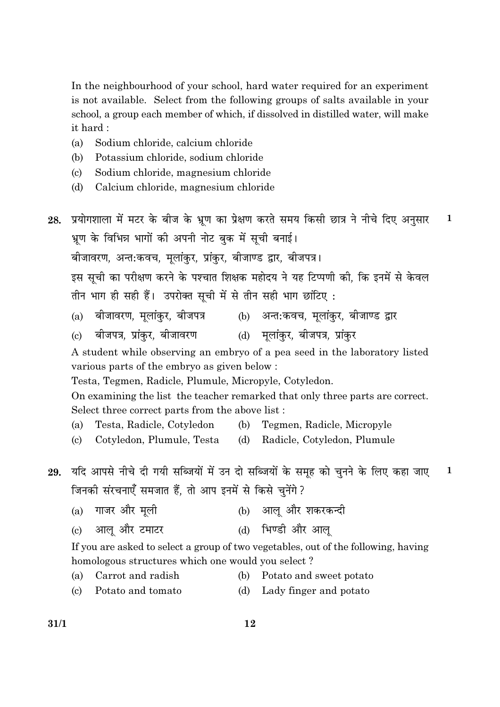In the neighbourhood of your school, hard water required for an experiment is not available. Select from the following groups of salts available in your school, a group each member of which, if dissolved in distilled water, will make it hard:

- Sodium chloride, calcium chloride  $(a)$
- (b) Potassium chloride, sodium chloride
- Sodium chloride, magnesium chloride  $\left( \mathrm{c} \right)$
- $(d)$ Calcium chloride, magnesium chloride
- 28. प्रयोगशाला में मटर के बीज के भ्रूण का प्रेक्षण करते समय किसी छात्र ने नीचे दिए अनुसार  $\mathbf{1}$ भ्रूण के विभिन्न भागों की अपनी नोट बुक में सूची बनाई। बीजावरण, अन्त:कवच, मुलांकुर, प्रांकुर, बीजाण्ड द्वार, बीजपत्र। इस सूची का परीक्षण करने के पश्चात शिक्षक महोदय ने यह टिप्पणी की, कि इनमें से केवल तीन भाग ही सही हैं। उपरोक्त सूची में से तीन सही भाग छांटिए: बीजावरण, मूलांकुर, बीजपत्र (b) अन्त:कवच, मूलांकुर, बीजाण्ड द्वार  $(a)$ बीजपत्र, प्रांकर, बीजावरण (d) मुलांकर, बीजपत्र, प्रांकर  $\left( \mathrm{c}\right)$ A student while observing an embryo of a pea seed in the laboratory listed various parts of the embryo as given below: Testa, Tegmen, Radicle, Plumule, Micropyle, Cotyledon. On examining the list the teacher remarked that only three parts are correct. Select three correct parts from the above list:  $(a)$ Testa, Radicle, Cotyledon (b) Tegmen, Radicle, Micropyle  $(c)$ Cotyledon, Plumule, Testa (d) Radicle, Cotyledon, Plumule 29. यदि आपसे नीचे दी गयी सब्जियों में उन दो सब्जियों के समूह को चुनने के लिए कहा जाए  $\mathbf{1}$ जिनकी संरचनाएँ समजात हैं, तो आप इनमें से किसे चुनेंगे ? (a) गाजर और मली (b) आल और शकरकन्दी (d) भिण्डी और आल आल और टमाटर  $\left( \mathrm{e}\right)$ If you are asked to select a group of two vegetables, out of the following, having homologous structures which one would you select?
	- Carrot and radish  $(a)$ (b) Potato and sweet potato
	- Potato and tomato Lady finger and potato  $\left( \mathrm{c} \right)$  $(d)$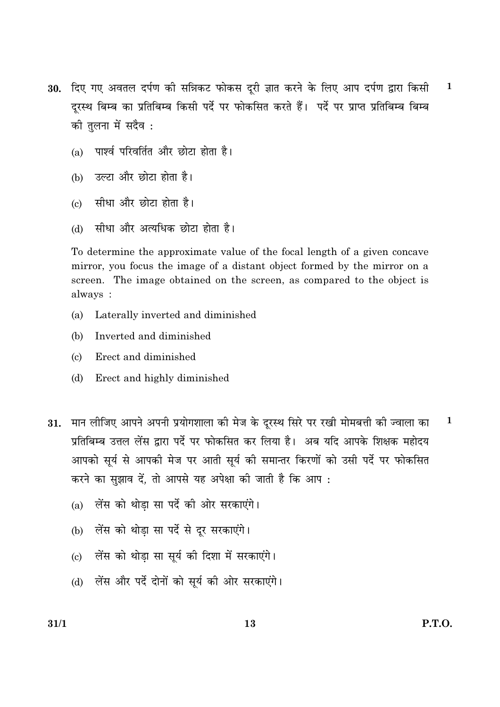- 30. दिए गए अवतल दर्पण की सन्निकट फोकस दुरी ज्ञात करने के लिए आप दर्पण द्वारा किसी  $\mathbf{1}$ दुरस्थ बिम्ब का प्रतिबिम्ब किसी पर्दे पर फोकसित करते हैं। पर्दे पर प्राप्त प्रतिबिम्ब बिम्ब को तलना में सदैव :
	- (a) पार्श्व परिवर्तित और छोटा होता है।
	- उल्टा और छोटा होता है।  $(b)$
	- सीधा और छोटा होता है।  $\left( \mathrm{e}\right)$
	- सीधा और अत्यधिक छोटा होता है।  $(d)$

To determine the approximate value of the focal length of a given concave mirror, you focus the image of a distant object formed by the mirror on a screen. The image obtained on the screen, as compared to the object is always:

- Laterally inverted and diminished  $(a)$
- Inverted and diminished  $(h)$
- Erect and diminished  $(c)$
- Erect and highly diminished (d)
- मान लीजिए आपने अपनी प्रयोगशाला की मेज के दूरस्थ सिरे पर रखी मोमबत्ती की ज्वाला का  $\mathbf{1}$ 31. प्रतिबिम्ब उत्तल लेंस द्वारा पर्दे पर फोकसित कर लिया है। अब यदि आपके शिक्षक महोदय आपको सूर्य से आपकी मेज पर आती सूर्य की समान्तर किरणों को उसी पर्दे पर फोकसित करने का सझाव दें. तो आपसे यह अपेक्षा की जाती है कि आप:
	- लेंस को थोडा सा पर्दे की ओर सरकाएंगे।  $(a)$
	- लेंस को थोडा सा पर्दे से दर सरकाएंगे।  $(b)$
	- (c) लेंस को थोडा सा सर्य की दिशा में सरकाएंगे।
	- (d) लेंस और पर्दे दोनों को सूर्य की ओर सरकाएंगे।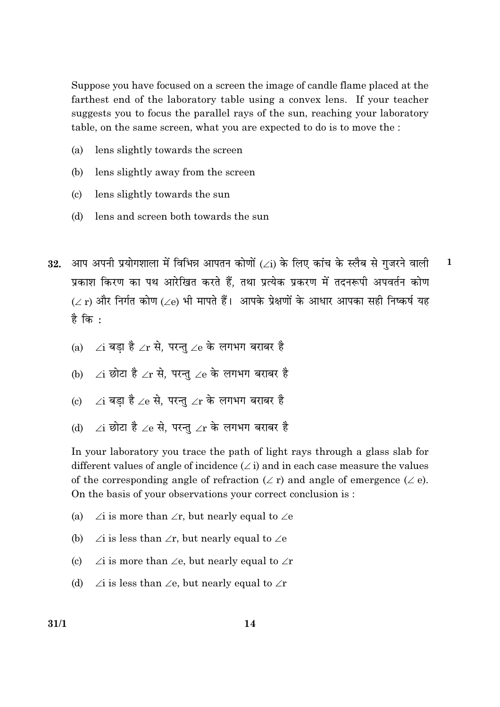Suppose you have focused on a screen the image of candle flame placed at the farthest end of the laboratory table using a convex lens. If your teacher suggests you to focus the parallel rays of the sun, reaching your laboratory table, on the same screen, what you are expected to do is to move the :

- $(a)$ lens slightly towards the screen
- (b) lens slightly away from the screen
- $\left( \mathrm{c}\right)$ lens slightly towards the sun
- lens and screen both towards the sun (d)
- आप अपनी प्रयोगशाला में विभिन्न आपतन कोणों (  $\angle$  i) के लिए कांच के स्लैब से गजरने वाली  $\mathbf{1}$ 32. प्रकाश किरण का पथ आरेखित करते हैं. तथा प्रत्येक प्रकरण में तदनरूपी अपवर्तन कोण  $(\angle$  r) और निर्गत कोण ( $\angle$ e) भी मापते हैं। आपके प्रेक्षणों के आधार आपका सही निष्कर्ष यह है कि $\cdot$ 
	- ∠i बडा है ∠r से. परन्त ∠e के लगभग बराबर है  $(a)$
	- ∠i छोटा है ∠r से. परन्त ∠e के लगभग बराबर है  $(b)$
	- $\gamma$ i बड़ा है  $\gamma$ e से. परन्त  $\gamma$ r के लगभग बराबर है  $\left( \mathrm{e}\right)$
	- ⁄i छोटा है ⁄e से. परन्त ⁄r के लगभग बराबर है  $(b)$

In your laboratory you trace the path of light rays through a glass slab for different values of angle of incidence  $(\angle i)$  and in each case measure the values of the corresponding angle of refraction  $(\angle r)$  and angle of emergence  $(\angle e)$ . On the basis of your observations your correct conclusion is:

- $(a)$  $\angle$ i is more than  $\angle$ r, but nearly equal to  $\angle$ e
- $(b)$  $\angle$ i is less than  $\angle$ r, but nearly equal to  $\angle$ e
- $\angle$ i is more than  $\angle$ e, but nearly equal to  $\angle$ r  $(c)$
- $(d)$  $\angle$ i is less than  $\angle$ e, but nearly equal to  $\angle$ r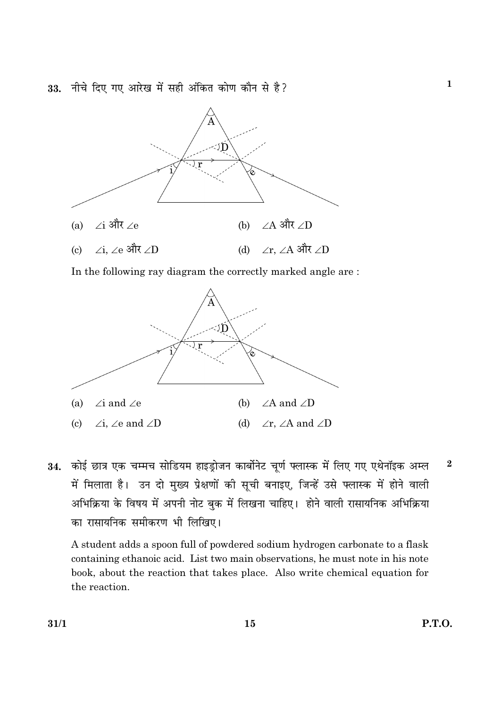33. नीचे दिए गए आरेख में सही अंकित कोण कौन से है?



In the following ray diagram the correctly marked angle are:



कोई छात्र एक चम्मच सोडियम हाइड्रोजन कार्बोनेट चूर्ण फ्लास्क में लिए गए एथेनॉइक अम्ल  $\bf{2}$ 34. में मिलाता है। उन दो मुख्य प्रेक्षणों की सूची बनाइए, जिन्हें उसे फ्लास्क में होने वाली अभिक्रिया के विषय में अपनी नोट बुक में लिखना चाहिए। होने वाली रासायनिक अभिक्रिया का रासायनिक समीकरण भी लिखिए।

A student adds a spoon full of powdered sodium hydrogen carbonate to a flask containing ethanoic acid. List two main observations, he must note in his note book, about the reaction that takes place. Also write chemical equation for the reaction.